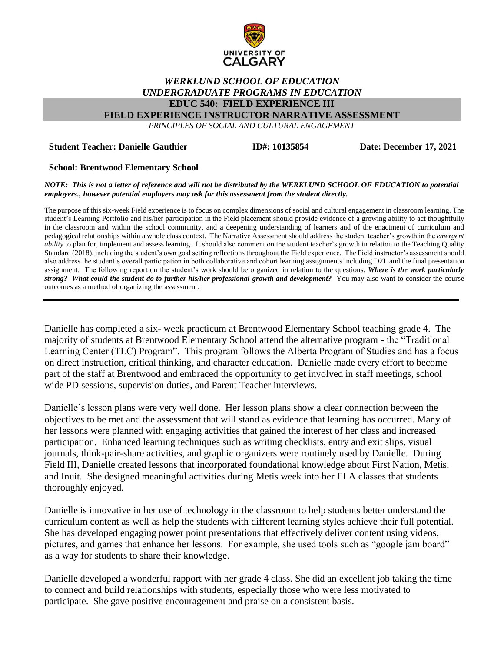

## *WERKLUND SCHOOL OF EDUCATION UNDERGRADUATE PROGRAMS IN EDUCATION* **EDUC 540: FIELD EXPERIENCE III**

**FIELD EXPERIENCE INSTRUCTOR NARRATIVE ASSESSMENT**

*PRINCIPLES OF SOCIAL AND CULTURAL ENGAGEMENT*

#### **Student Teacher: Danielle Gauthier**

**ID#: 10135854 Date: December 17, 2021**

## **School: Brentwood Elementary School**

*NOTE: This is not a letter of reference and will not be distributed by the WERKLUND SCHOOL OF EDUCATION to potential employers., however potential employers may ask for this assessment from the student directly.*

The purpose of this six-week Field experience is to focus on complex dimensions of social and cultural engagement in classroom learning. The student's Learning Portfolio and his/her participation in the Field placement should provide evidence of a growing ability to act thoughtfully in the classroom and within the school community, and a deepening understanding of learners and of the enactment of curriculum and pedagogical relationships within a whole class context. The Narrative Assessment should address the student teacher's growth in the *emergent ability* to plan for, implement and assess learning. It should also comment on the student teacher's growth in relation to the Teaching Quality Standard (2018), including the student's own goal setting reflections throughout the Field experience. The Field instructor's assessment should also address the student's overall participation in both collaborative and cohort learning assignments including D2L and the final presentation assignment. The following report on the student's work should be organized in relation to the questions: *Where is the work particularly strong? What could the student do to further his/her professional growth and development?* You may also want to consider the course outcomes as a method of organizing the assessment.

Danielle has completed a six- week practicum at Brentwood Elementary School teaching grade 4. The majority of students at Brentwood Elementary School attend the alternative program - the "Traditional Learning Center (TLC) Program". This program follows the Alberta Program of Studies and has a focus on direct instruction, critical thinking, and character education. Danielle made every effort to become part of the staff at Brentwood and embraced the opportunity to get involved in staff meetings, school wide PD sessions, supervision duties, and Parent Teacher interviews.

Danielle's lesson plans were very well done. Her lesson plans show a clear connection between the objectives to be met and the assessment that will stand as evidence that learning has occurred. Many of her lessons were planned with engaging activities that gained the interest of her class and increased participation. Enhanced learning techniques such as writing checklists, entry and exit slips, visual journals, think-pair-share activities, and graphic organizers were routinely used by Danielle. During Field III, Danielle created lessons that incorporated foundational knowledge about First Nation, Metis, and Inuit. She designed meaningful activities during Metis week into her ELA classes that students thoroughly enjoyed.

Danielle is innovative in her use of technology in the classroom to help students better understand the curriculum content as well as help the students with different learning styles achieve their full potential. She has developed engaging power point presentations that effectively deliver content using videos, pictures, and games that enhance her lessons. For example, she used tools such as "google jam board" as a way for students to share their knowledge.

Danielle developed a wonderful rapport with her grade 4 class. She did an excellent job taking the time to connect and build relationships with students, especially those who were less motivated to participate. She gave positive encouragement and praise on a consistent basis.